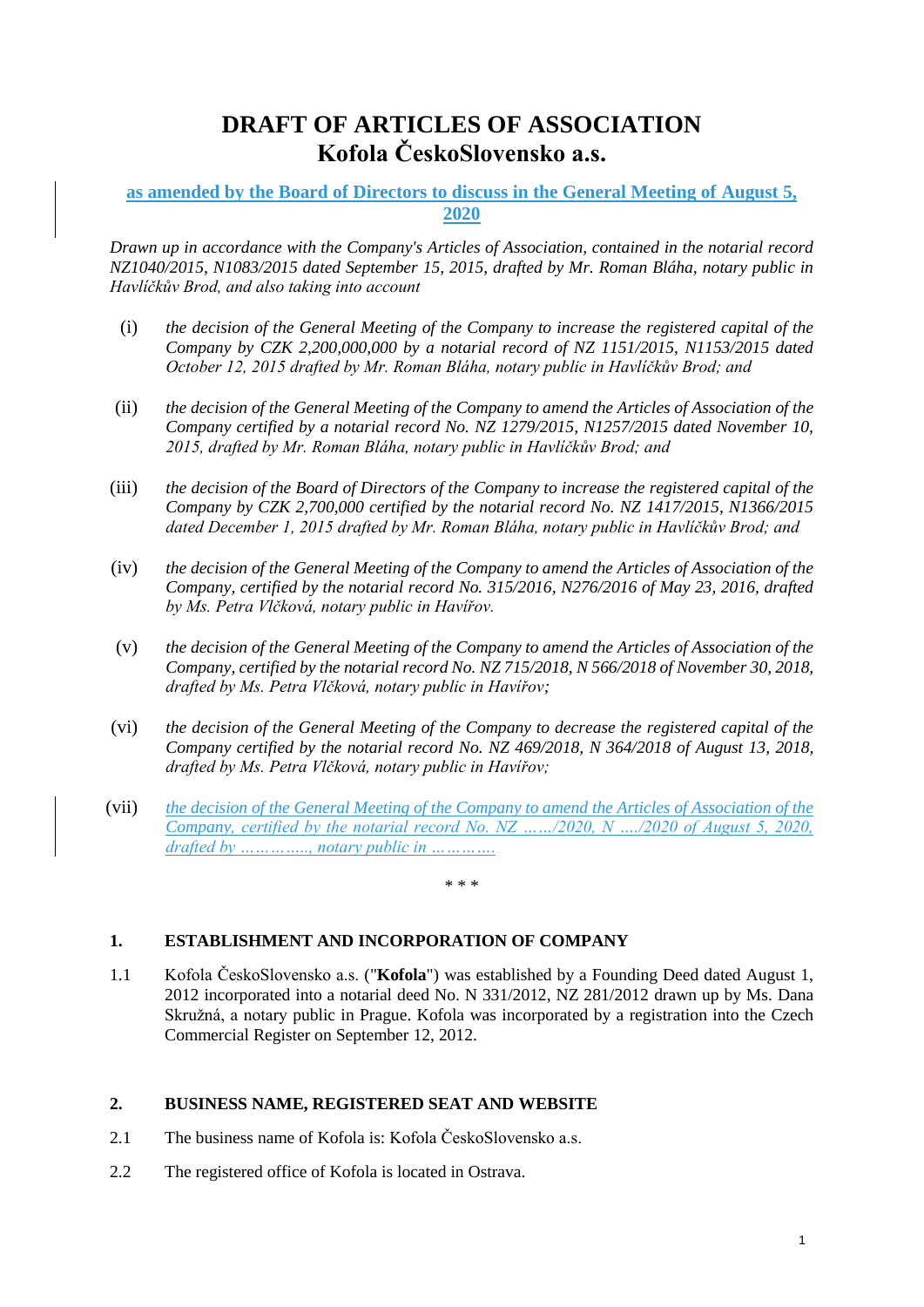# **DRAFT OF ARTICLES OF ASSOCIATION Kofola ČeskoSlovensko a.s.**

## **as amended by the Board of Directors to discuss in the General Meeting of August 5, 2020**

*Drawn up in accordance with the Company's Articles of Association, contained in the notarial record NZ1040/2015, N1083/2015 dated September 15, 2015, drafted by Mr. Roman Bláha, notary public in Havlíčkův Brod, and also taking into account*

- (i) *the decision of the General Meeting of the Company to increase the registered capital of the Company by CZK 2,200,000,000 by a notarial record of NZ 1151/2015, N1153/2015 dated October 12, 2015 drafted by Mr. Roman Bláha, notary public in Havlíčkův Brod; and*
- (ii) *the decision of the General Meeting of the Company to amend the Articles of Association of the Company certified by a notarial record No. NZ 1279/2015, N1257/2015 dated November 10, 2015, drafted by Mr. Roman Bláha, notary public in Havlíčkův Brod; and*
- (iii) *the decision of the Board of Directors of the Company to increase the registered capital of the Company by CZK 2,700,000 certified by the notarial record No. NZ 1417/2015, N1366/2015 dated December 1, 2015 drafted by Mr. Roman Bláha, notary public in Havlíčkův Brod; and*
- (iv) *the decision of the General Meeting of the Company to amend the Articles of Association of the Company, certified by the notarial record No. 315/2016, N276/2016 of May 23, 2016, drafted by Ms. Petra Vlčková, notary public in Havířov.*
- (v) *the decision of the General Meeting of the Company to amend the Articles of Association of the Company, certified by the notarial record No. NZ 715/2018, N 566/2018 of November 30, 2018, drafted by Ms. Petra Vlčková, notary public in Havířov;*
- (vi) *the decision of the General Meeting of the Company to decrease the registered capital of the Company certified by the notarial record No. NZ 469/2018, N 364/2018 of August 13, 2018, drafted by Ms. Petra Vlčková, notary public in Havířov;*
- (vii) *the decision of the General Meeting of the Company to amend the Articles of Association of the Company, certified by the notarial record No. NZ ……/2020, N …./2020 of August 5, 2020, drafted by ………….., notary public in ………….*

\* \* \*

## **1. ESTABLISHMENT AND INCORPORATION OF COMPANY**

1.1 Kofola ČeskoSlovensko a.s. ("**Kofola**") was established by a Founding Deed dated August 1, 2012 incorporated into a notarial deed No. N 331/2012, NZ 281/2012 drawn up by Ms. Dana Skružná, a notary public in Prague. Kofola was incorporated by a registration into the Czech Commercial Register on September 12, 2012.

## **2. BUSINESS NAME, REGISTERED SEAT AND WEBSITE**

- 2.1 The business name of Kofola is: Kofola ČeskoSlovensko a.s.
- 2.2 The registered office of Kofola is located in Ostrava.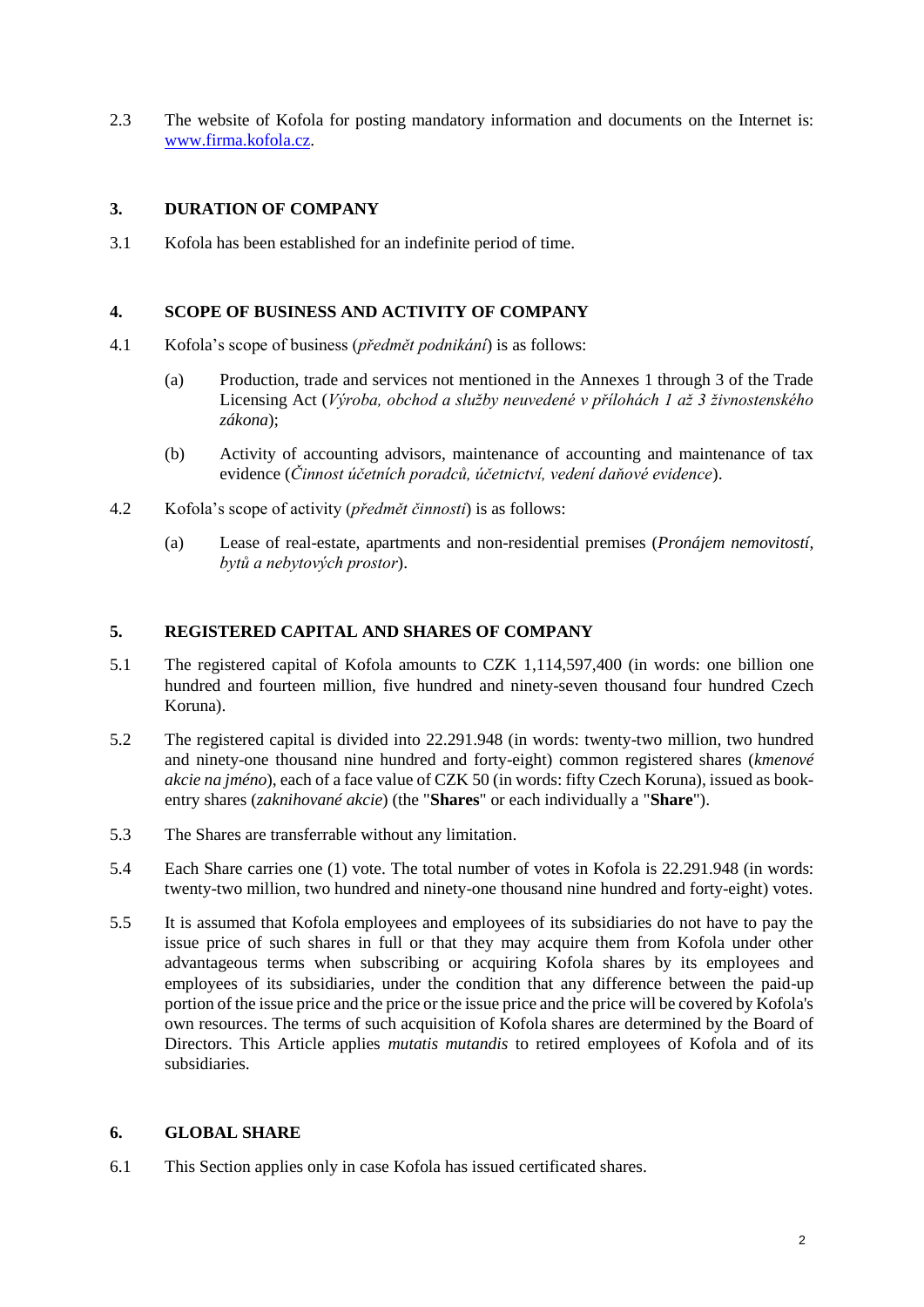2.3 The website of Kofola for posting mandatory information and documents on the Internet is: [www.firma.kofola.cz.](http://www.firma.kofola.cz/)

## **3. DURATION OF COMPANY**

3.1 Kofola has been established for an indefinite period of time.

#### **4. SCOPE OF BUSINESS AND ACTIVITY OF COMPANY**

- 4.1 Kofola's scope of business (*předmět podnikání*) is as follows:
	- (a) Production, trade and services not mentioned in the Annexes 1 through 3 of the Trade Licensing Act (*Výroba, obchod a služby neuvedené v přílohách 1 až 3 živnostenského zákona*);
	- (b) Activity of accounting advisors, maintenance of accounting and maintenance of tax evidence (*Činnost účetních poradců, účetnictví, vedení daňové evidence*).
- 4.2 Kofola's scope of activity (*předmět činnosti*) is as follows:
	- (a) Lease of real-estate, apartments and non-residential premises (*Pronájem nemovitostí, bytů a nebytových prostor*).

## **5. REGISTERED CAPITAL AND SHARES OF COMPANY**

- 5.1 The registered capital of Kofola amounts to CZK 1,114,597,400 (in words: one billion one hundred and fourteen million, five hundred and ninety-seven thousand four hundred Czech Koruna).
- 5.2 The registered capital is divided into 22.291.948 (in words: twenty-two million, two hundred and ninety-one thousand nine hundred and forty-eight) common registered shares (*kmenové akcie na jméno*), each of a face value of CZK 50 (in words: fifty Czech Koruna), issued as bookentry shares (*zaknihované akcie*) (the "**Shares**" or each individually a "**Share**").
- 5.3 The Shares are transferrable without any limitation.
- 5.4 Each Share carries one (1) vote. The total number of votes in Kofola is 22.291.948 (in words: twenty-two million, two hundred and ninety-one thousand nine hundred and forty-eight) votes.
- 5.5 It is assumed that Kofola employees and employees of its subsidiaries do not have to pay the issue price of such shares in full or that they may acquire them from Kofola under other advantageous terms when subscribing or acquiring Kofola shares by its employees and employees of its subsidiaries, under the condition that any difference between the paid-up portion of the issue price and the price or the issue price and the price will be covered by Kofola's own resources. The terms of such acquisition of Kofola shares are determined by the Board of Directors. This Article applies *mutatis mutandis* to retired employees of Kofola and of its subsidiaries.

#### **6. GLOBAL SHARE**

6.1 This Section applies only in case Kofola has issued certificated shares.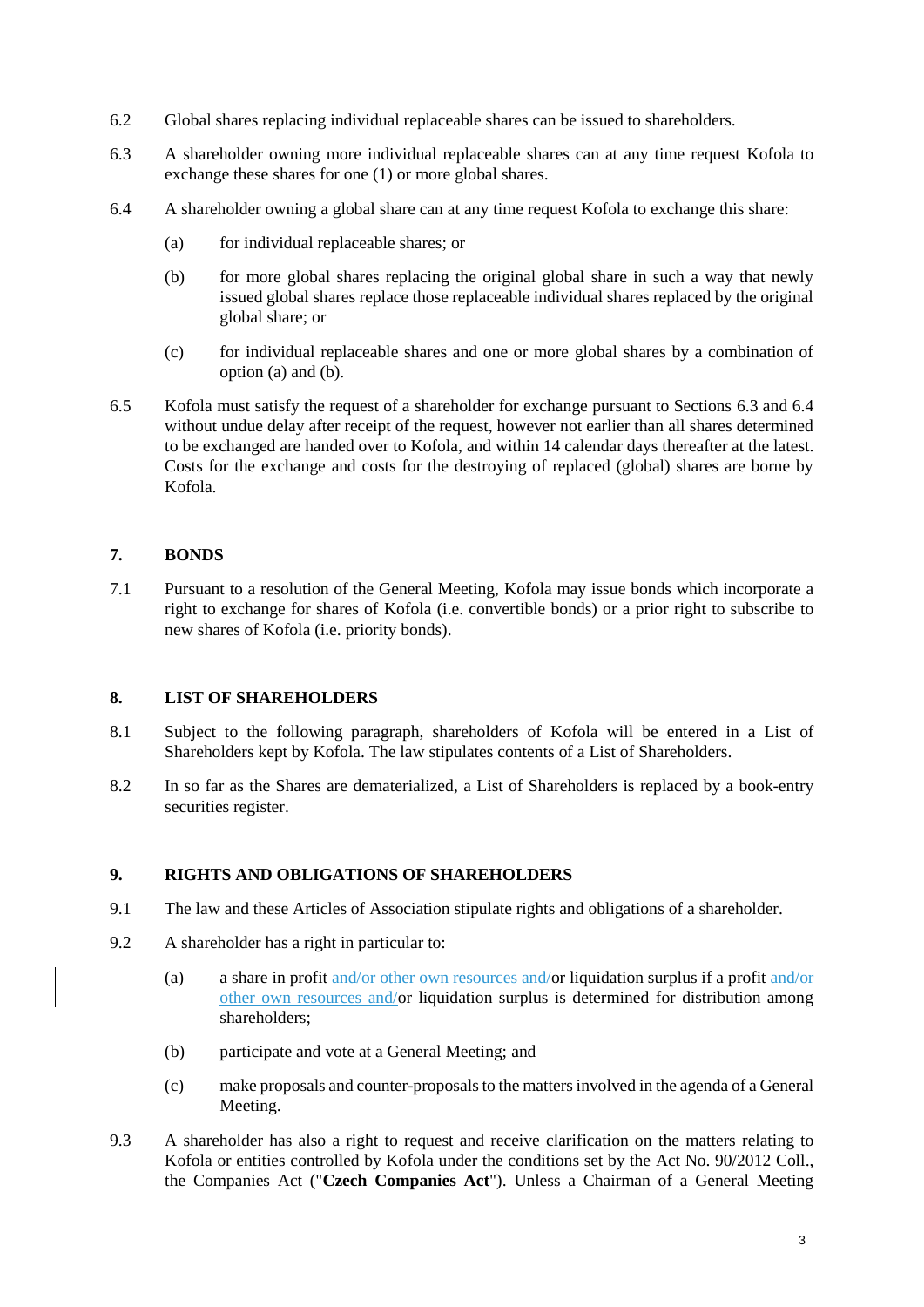- 6.2 Global shares replacing individual replaceable shares can be issued to shareholders.
- <span id="page-2-2"></span>6.3 A shareholder owning more individual replaceable shares can at any time request Kofola to exchange these shares for one (1) or more global shares.
- <span id="page-2-3"></span><span id="page-2-1"></span><span id="page-2-0"></span>6.4 A shareholder owning a global share can at any time request Kofola to exchange this share:
	- (a) for individual replaceable shares; or
	- (b) for more global shares replacing the original global share in such a way that newly issued global shares replace those replaceable individual shares replaced by the original global share; or
	- (c) for individual replaceable shares and one or more global shares by a combination of option [\(a\)](#page-2-0) and [\(b\).](#page-2-1)
- 6.5 Kofola must satisfy the request of a shareholder for exchange pursuant to Sections [6.3](#page-2-2) and [6.4](#page-2-3) without undue delay after receipt of the request, however not earlier than all shares determined to be exchanged are handed over to Kofola, and within 14 calendar days thereafter at the latest. Costs for the exchange and costs for the destroying of replaced (global) shares are borne by Kofola.

#### **7. BONDS**

7.1 Pursuant to a resolution of the General Meeting, Kofola may issue bonds which incorporate a right to exchange for shares of Kofola (i.e. convertible bonds) or a prior right to subscribe to new shares of Kofola (i.e. priority bonds).

#### **8. LIST OF SHAREHOLDERS**

- 8.1 Subject to the following paragraph, shareholders of Kofola will be entered in a List of Shareholders kept by Kofola. The law stipulates contents of a List of Shareholders.
- 8.2 In so far as the Shares are dematerialized, a List of Shareholders is replaced by a book-entry securities register.

#### **9. RIGHTS AND OBLIGATIONS OF SHAREHOLDERS**

- 9.1 The law and these Articles of Association stipulate rights and obligations of a shareholder.
- 9.2 A shareholder has a right in particular to:
	- (a) a share in profit and/or other own resources and/or liquidation surplus if a profit and/or other own resources and/or liquidation surplus is determined for distribution among shareholders;
	- (b) participate and vote at a General Meeting; and
	- (c) make proposals and counter-proposals to the matters involved in the agenda of a General Meeting.
- 9.3 A shareholder has also a right to request and receive clarification on the matters relating to Kofola or entities controlled by Kofola under the conditions set by the Act No. 90/2012 Coll., the Companies Act ("**Czech Companies Act**"). Unless a Chairman of a General Meeting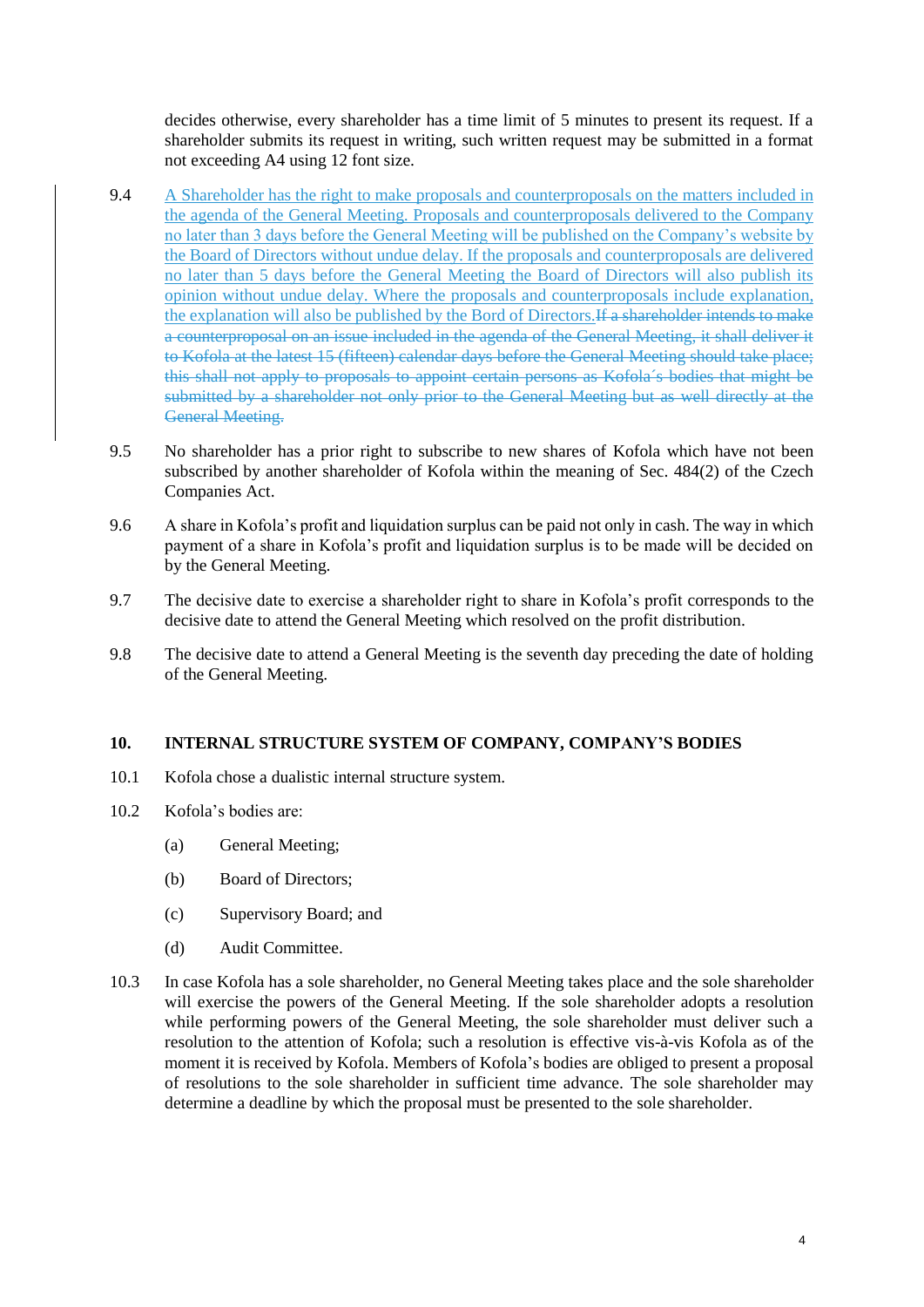decides otherwise, every shareholder has a time limit of 5 minutes to present its request. If a shareholder submits its request in writing, such written request may be submitted in a format not exceeding A4 using 12 font size.

- 9.4 A Shareholder has the right to make proposals and counterproposals on the matters included in the agenda of the General Meeting. Proposals and counterproposals delivered to the Company no later than 3 days before the General Meeting will be published on the Company's website by the Board of Directors without undue delay. If the proposals and counterproposals are delivered no later than 5 days before the General Meeting the Board of Directors will also publish its opinion without undue delay. Where the proposals and counterproposals include explanation, the explanation will also be published by the Bord of Directors.If a shareholder intends to make a counterproposal on an issue included in the agenda of the General Meeting, it shall deliver it to Kofola at the latest 15 (fifteen) calendar days before the General Meeting should take place; this shall not apply to proposals to appoint certain persons as Kofola´s bodies that might be submitted by a shareholder not only prior to the General Meeting but as well directly at the General Meeting.
- 9.5 No shareholder has a prior right to subscribe to new shares of Kofola which have not been subscribed by another shareholder of Kofola within the meaning of Sec. 484(2) of the Czech Companies Act.
- 9.6 A share in Kofola's profit and liquidation surplus can be paid not only in cash. The way in which payment of a share in Kofola's profit and liquidation surplus is to be made will be decided on by the General Meeting.
- 9.7 The decisive date to exercise a shareholder right to share in Kofola's profit corresponds to the decisive date to attend the General Meeting which resolved on the profit distribution.
- 9.8 The decisive date to attend a General Meeting is the seventh day preceding the date of holding of the General Meeting.

#### **10. INTERNAL STRUCTURE SYSTEM OF COMPANY, COMPANY'S BODIES**

- 10.1 Kofola chose a dualistic internal structure system.
- 10.2 Kofola's bodies are:
	- (a) General Meeting;
	- (b) Board of Directors;
	- (c) Supervisory Board; and
	- (d) Audit Committee.
- 10.3 In case Kofola has a sole shareholder, no General Meeting takes place and the sole shareholder will exercise the powers of the General Meeting. If the sole shareholder adopts a resolution while performing powers of the General Meeting, the sole shareholder must deliver such a resolution to the attention of Kofola; such a resolution is effective vis-à-vis Kofola as of the moment it is received by Kofola. Members of Kofola's bodies are obliged to present a proposal of resolutions to the sole shareholder in sufficient time advance. The sole shareholder may determine a deadline by which the proposal must be presented to the sole shareholder.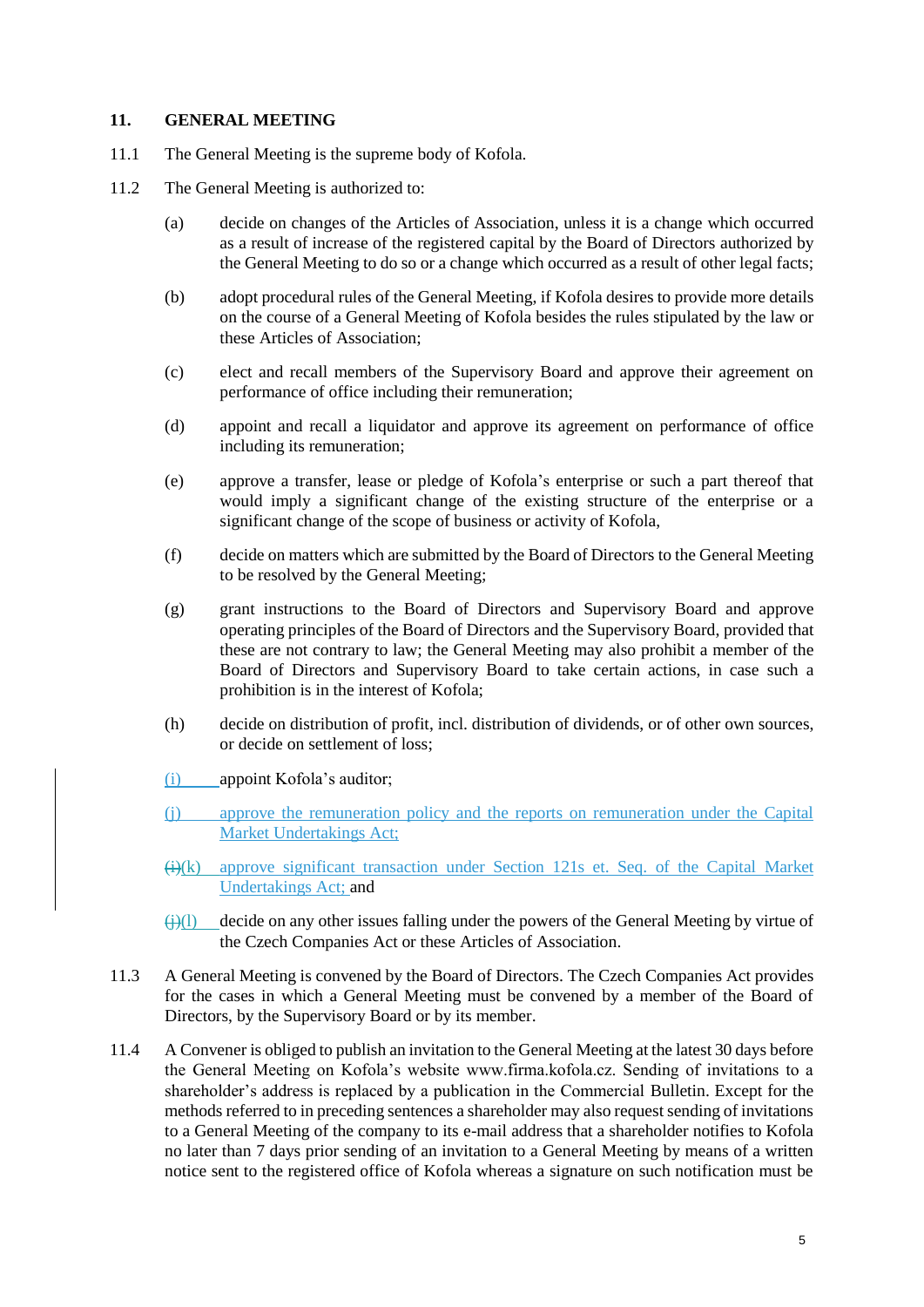#### **11. GENERAL MEETING**

- 11.1 The General Meeting is the supreme body of Kofola.
- 11.2 The General Meeting is authorized to:
	- (a) decide on changes of the Articles of Association, unless it is a change which occurred as a result of increase of the registered capital by the Board of Directors authorized by the General Meeting to do so or a change which occurred as a result of other legal facts;
	- (b) adopt procedural rules of the General Meeting, if Kofola desires to provide more details on the course of a General Meeting of Kofola besides the rules stipulated by the law or these Articles of Association;
	- (c) elect and recall members of the Supervisory Board and approve their agreement on performance of office including their remuneration;
	- (d) appoint and recall a liquidator and approve its agreement on performance of office including its remuneration;
	- (e) approve a transfer, lease or pledge of Kofola's enterprise or such a part thereof that would imply a significant change of the existing structure of the enterprise or a significant change of the scope of business or activity of Kofola,
	- (f) decide on matters which are submitted by the Board of Directors to the General Meeting to be resolved by the General Meeting;
	- (g) grant instructions to the Board of Directors and Supervisory Board and approve operating principles of the Board of Directors and the Supervisory Board, provided that these are not contrary to law; the General Meeting may also prohibit a member of the Board of Directors and Supervisory Board to take certain actions, in case such a prohibition is in the interest of Kofola;
	- (h) decide on distribution of profit, incl. distribution of dividends, or of other own sources, or decide on settlement of loss;
	- (i) appoint Kofola's auditor;
	- (j) approve the remuneration policy and the reports on remuneration under the Capital Market Undertakings Act;
	- $\Theta(x)$  approve significant transaction under Section 121s et. Seq. of the Capital Market Undertakings Act; and
	- $\Theta$ (i)(l) decide on any other issues falling under the powers of the General Meeting by virtue of the Czech Companies Act or these Articles of Association.
- 11.3 A General Meeting is convened by the Board of Directors. The Czech Companies Act provides for the cases in which a General Meeting must be convened by a member of the Board of Directors, by the Supervisory Board or by its member.
- 11.4 A Convener is obliged to publish an invitation to the General Meeting at the latest 30 days before the General Meeting on Kofola's website www.firma.kofola.cz. Sending of invitations to a shareholder's address is replaced by a publication in the Commercial Bulletin. Except for the methods referred to in preceding sentences a shareholder may also request sending of invitations to a General Meeting of the company to its e-mail address that a shareholder notifies to Kofola no later than 7 days prior sending of an invitation to a General Meeting by means of a written notice sent to the registered office of Kofola whereas a signature on such notification must be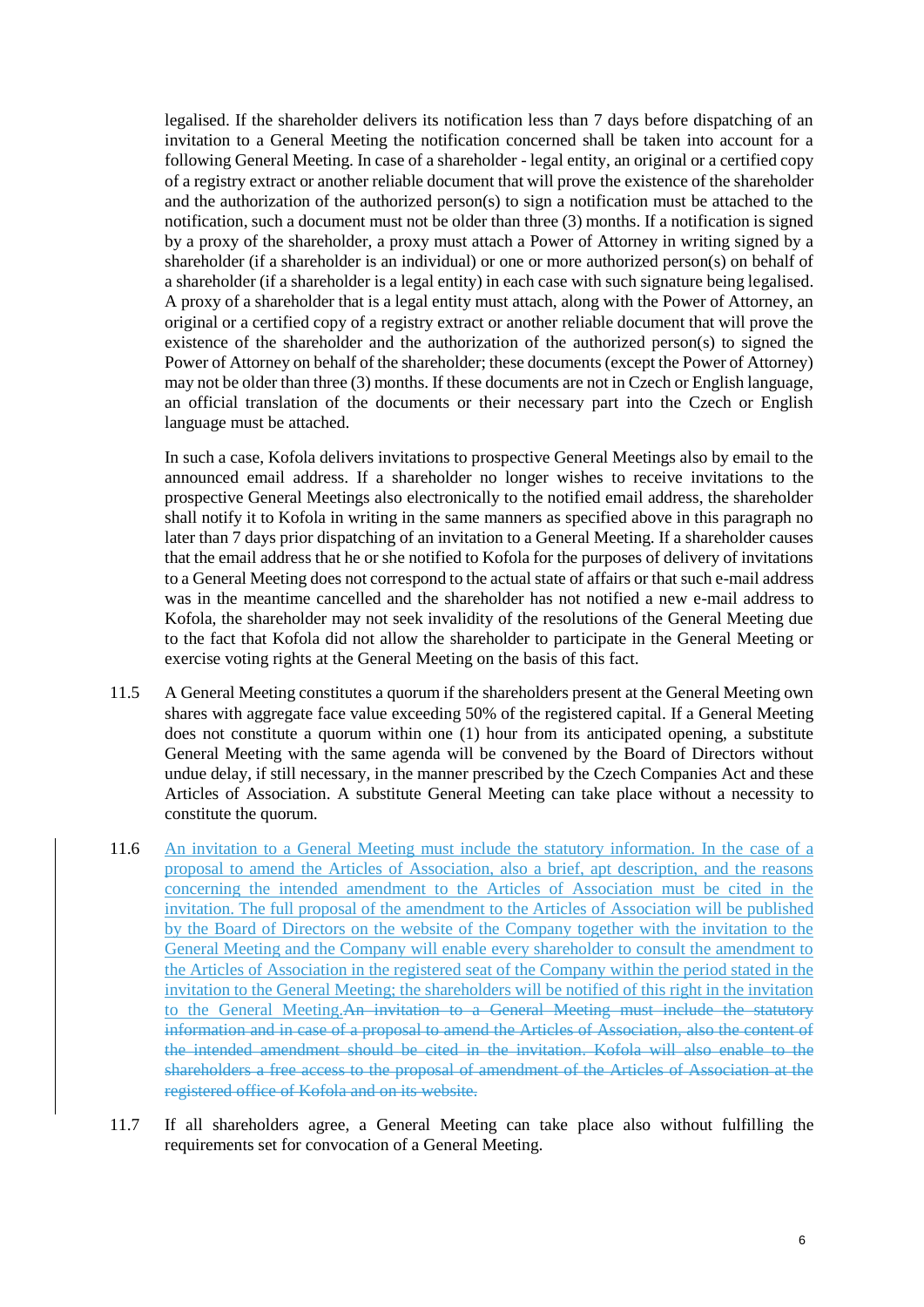legalised. If the shareholder delivers its notification less than 7 days before dispatching of an invitation to a General Meeting the notification concerned shall be taken into account for a following General Meeting. In case of a shareholder - legal entity, an original or a certified copy of a registry extract or another reliable document that will prove the existence of the shareholder and the authorization of the authorized person(s) to sign a notification must be attached to the notification, such a document must not be older than three (3) months. If a notification is signed by a proxy of the shareholder, a proxy must attach a Power of Attorney in writing signed by a shareholder (if a shareholder is an individual) or one or more authorized person(s) on behalf of a shareholder (if a shareholder is a legal entity) in each case with such signature being legalised. A proxy of a shareholder that is a legal entity must attach, along with the Power of Attorney, an original or a certified copy of a registry extract or another reliable document that will prove the existence of the shareholder and the authorization of the authorized person(s) to signed the Power of Attorney on behalf of the shareholder; these documents (except the Power of Attorney) may not be older than three (3) months. If these documents are not in Czech or English language, an official translation of the documents or their necessary part into the Czech or English language must be attached.

In such a case, Kofola delivers invitations to prospective General Meetings also by email to the announced email address. If a shareholder no longer wishes to receive invitations to the prospective General Meetings also electronically to the notified email address, the shareholder shall notify it to Kofola in writing in the same manners as specified above in this paragraph no later than 7 days prior dispatching of an invitation to a General Meeting. If a shareholder causes that the email address that he or she notified to Kofola for the purposes of delivery of invitations to a General Meeting does not correspond to the actual state of affairs or that such e-mail address was in the meantime cancelled and the shareholder has not notified a new e-mail address to Kofola, the shareholder may not seek invalidity of the resolutions of the General Meeting due to the fact that Kofola did not allow the shareholder to participate in the General Meeting or exercise voting rights at the General Meeting on the basis of this fact.

- 11.5 A General Meeting constitutes a quorum if the shareholders present at the General Meeting own shares with aggregate face value exceeding 50% of the registered capital. If a General Meeting does not constitute a quorum within one (1) hour from its anticipated opening, a substitute General Meeting with the same agenda will be convened by the Board of Directors without undue delay, if still necessary, in the manner prescribed by the Czech Companies Act and these Articles of Association. A substitute General Meeting can take place without a necessity to constitute the quorum.
- 11.6 An invitation to a General Meeting must include the statutory information. In the case of a proposal to amend the Articles of Association, also a brief, apt description, and the reasons concerning the intended amendment to the Articles of Association must be cited in the invitation. The full proposal of the amendment to the Articles of Association will be published by the Board of Directors on the website of the Company together with the invitation to the General Meeting and the Company will enable every shareholder to consult the amendment to the Articles of Association in the registered seat of the Company within the period stated in the invitation to the General Meeting; the shareholders will be notified of this right in the invitation to the General Meeting.An invitation to a General Meeting must include the statutory information and in case of a proposal to amend the Articles of Association, also the content of the intended amendment should be cited in the invitation. Kofola will also enable to the shareholders a free access to the proposal of amendment of the Articles of Association at the registered office of Kofola and on its website.
- 11.7 If all shareholders agree, a General Meeting can take place also without fulfilling the requirements set for convocation of a General Meeting.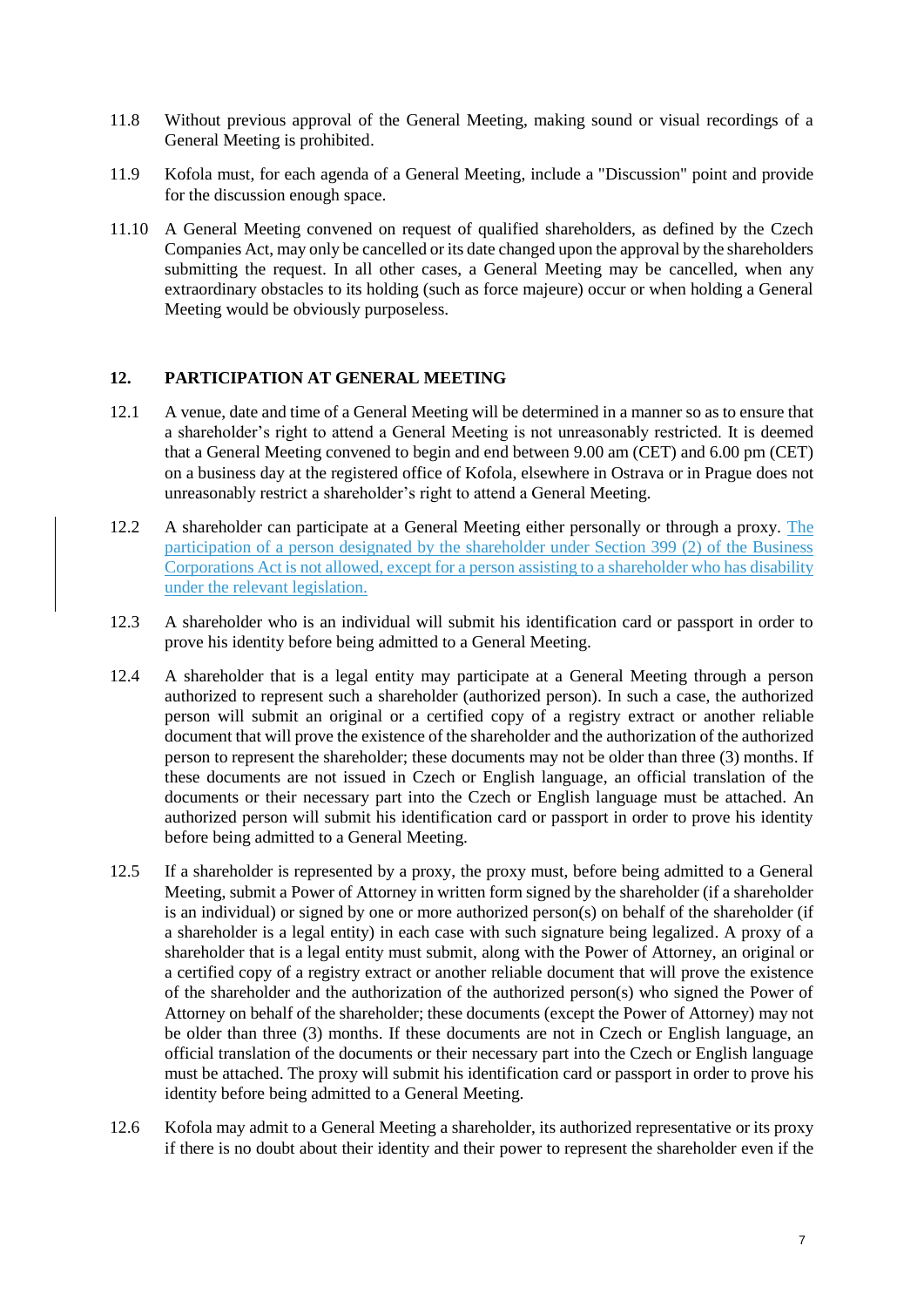- 11.8 Without previous approval of the General Meeting, making sound or visual recordings of a General Meeting is prohibited.
- 11.9 Kofola must, for each agenda of a General Meeting, include a "Discussion" point and provide for the discussion enough space.
- 11.10 A General Meeting convened on request of qualified shareholders, as defined by the Czech Companies Act, may only be cancelled or its date changed upon the approval by the shareholders submitting the request. In all other cases, a General Meeting may be cancelled, when any extraordinary obstacles to its holding (such as force majeure) occur or when holding a General Meeting would be obviously purposeless.

#### **12. PARTICIPATION AT GENERAL MEETING**

- 12.1 A venue, date and time of a General Meeting will be determined in a manner so as to ensure that a shareholder's right to attend a General Meeting is not unreasonably restricted. It is deemed that a General Meeting convened to begin and end between 9.00 am (CET) and 6.00 pm (CET) on a business day at the registered office of Kofola, elsewhere in Ostrava or in Prague does not unreasonably restrict a shareholder's right to attend a General Meeting.
- 12.2 A shareholder can participate at a General Meeting either personally or through a proxy. The participation of a person designated by the shareholder under Section 399 (2) of the Business Corporations Act is not allowed, except for a person assisting to a shareholder who has disability under the relevant legislation.
- <span id="page-6-0"></span>12.3 A shareholder who is an individual will submit his identification card or passport in order to prove his identity before being admitted to a General Meeting.
- 12.4 A shareholder that is a legal entity may participate at a General Meeting through a person authorized to represent such a shareholder (authorized person). In such a case, the authorized person will submit an original or a certified copy of a registry extract or another reliable document that will prove the existence of the shareholder and the authorization of the authorized person to represent the shareholder; these documents may not be older than three (3) months. If these documents are not issued in Czech or English language, an official translation of the documents or their necessary part into the Czech or English language must be attached. An authorized person will submit his identification card or passport in order to prove his identity before being admitted to a General Meeting.
- <span id="page-6-1"></span>12.5 If a shareholder is represented by a proxy, the proxy must, before being admitted to a General Meeting, submit a Power of Attorney in written form signed by the shareholder (if a shareholder is an individual) or signed by one or more authorized person(s) on behalf of the shareholder (if a shareholder is a legal entity) in each case with such signature being legalized. A proxy of a shareholder that is a legal entity must submit, along with the Power of Attorney, an original or a certified copy of a registry extract or another reliable document that will prove the existence of the shareholder and the authorization of the authorized person(s) who signed the Power of Attorney on behalf of the shareholder; these documents (except the Power of Attorney) may not be older than three (3) months. If these documents are not in Czech or English language, an official translation of the documents or their necessary part into the Czech or English language must be attached. The proxy will submit his identification card or passport in order to prove his identity before being admitted to a General Meeting.
- 12.6 Kofola may admit to a General Meeting a shareholder, its authorized representative or its proxy if there is no doubt about their identity and their power to represent the shareholder even if the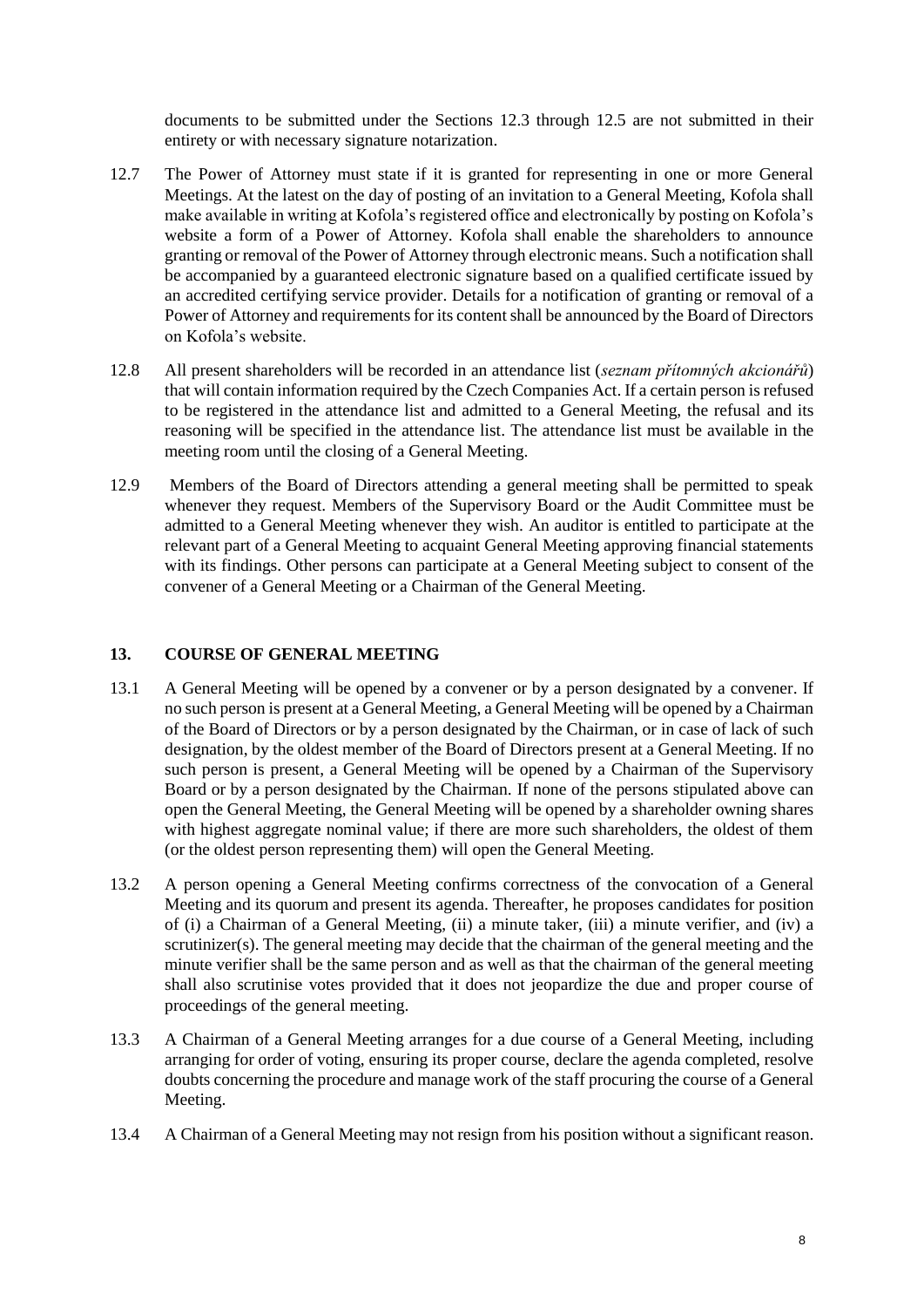documents to be submitted under the Sections [12.3](#page-6-0) through [12.5](#page-6-1) are not submitted in their entirety or with necessary signature notarization.

- 12.7 The Power of Attorney must state if it is granted for representing in one or more General Meetings. At the latest on the day of posting of an invitation to a General Meeting, Kofola shall make available in writing at Kofola's registered office and electronically by posting on Kofola's website a form of a Power of Attorney. Kofola shall enable the shareholders to announce granting or removal of the Power of Attorney through electronic means. Such a notification shall be accompanied by a guaranteed electronic signature based on a qualified certificate issued by an accredited certifying service provider. Details for a notification of granting or removal of a Power of Attorney and requirements for its content shall be announced by the Board of Directors on Kofola's website.
- 12.8 All present shareholders will be recorded in an attendance list (*seznam přítomných akcionářů*) that will contain information required by the Czech Companies Act. If a certain person is refused to be registered in the attendance list and admitted to a General Meeting, the refusal and its reasoning will be specified in the attendance list. The attendance list must be available in the meeting room until the closing of a General Meeting.
- 12.9 Members of the Board of Directors attending a general meeting shall be permitted to speak whenever they request. Members of the Supervisory Board or the Audit Committee must be admitted to a General Meeting whenever they wish. An auditor is entitled to participate at the relevant part of a General Meeting to acquaint General Meeting approving financial statements with its findings. Other persons can participate at a General Meeting subject to consent of the convener of a General Meeting or a Chairman of the General Meeting.

## **13. COURSE OF GENERAL MEETING**

- 13.1 A General Meeting will be opened by a convener or by a person designated by a convener. If no such person is present at a General Meeting, a General Meeting will be opened by a Chairman of the Board of Directors or by a person designated by the Chairman, or in case of lack of such designation, by the oldest member of the Board of Directors present at a General Meeting. If no such person is present, a General Meeting will be opened by a Chairman of the Supervisory Board or by a person designated by the Chairman. If none of the persons stipulated above can open the General Meeting, the General Meeting will be opened by a shareholder owning shares with highest aggregate nominal value; if there are more such shareholders, the oldest of them (or the oldest person representing them) will open the General Meeting.
- 13.2 A person opening a General Meeting confirms correctness of the convocation of a General Meeting and its quorum and present its agenda. Thereafter, he proposes candidates for position of (i) a Chairman of a General Meeting, (ii) a minute taker, (iii) a minute verifier, and (iv) a scrutinizer(s). The general meeting may decide that the chairman of the general meeting and the minute verifier shall be the same person and as well as that the chairman of the general meeting shall also scrutinise votes provided that it does not jeopardize the due and proper course of proceedings of the general meeting.
- 13.3 A Chairman of a General Meeting arranges for a due course of a General Meeting, including arranging for order of voting, ensuring its proper course, declare the agenda completed, resolve doubts concerning the procedure and manage work of the staff procuring the course of a General Meeting.
- 13.4 A Chairman of a General Meeting may not resign from his position without a significant reason.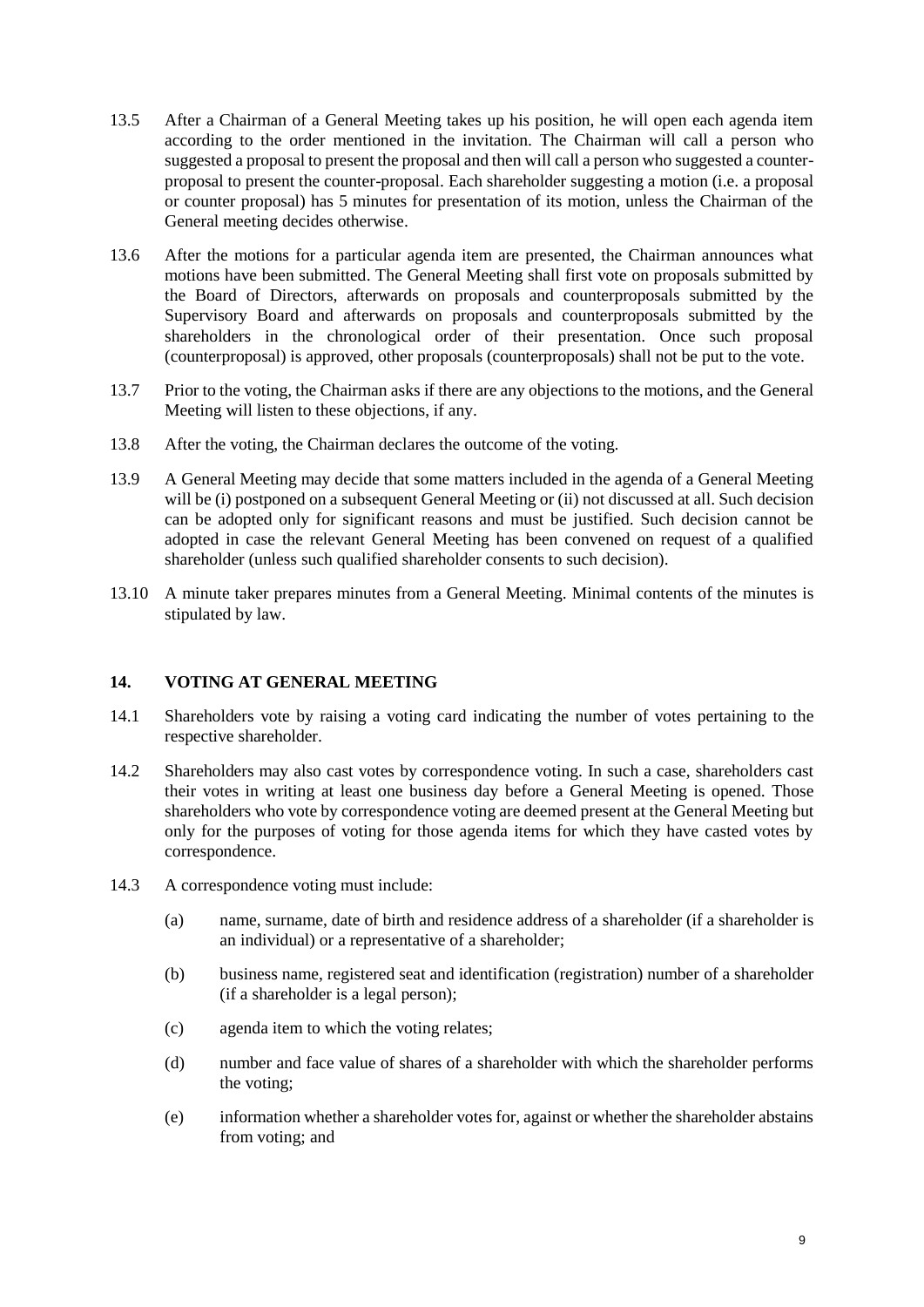- 13.5 After a Chairman of a General Meeting takes up his position, he will open each agenda item according to the order mentioned in the invitation. The Chairman will call a person who suggested a proposal to present the proposal and then will call a person who suggested a counterproposal to present the counter-proposal. Each shareholder suggesting a motion (i.e. a proposal or counter proposal) has 5 minutes for presentation of its motion, unless the Chairman of the General meeting decides otherwise.
- 13.6 After the motions for a particular agenda item are presented, the Chairman announces what motions have been submitted. The General Meeting shall first vote on proposals submitted by the Board of Directors, afterwards on proposals and counterproposals submitted by the Supervisory Board and afterwards on proposals and counterproposals submitted by the shareholders in the chronological order of their presentation. Once such proposal (counterproposal) is approved, other proposals (counterproposals) shall not be put to the vote.
- 13.7 Prior to the voting, the Chairman asks if there are any objections to the motions, and the General Meeting will listen to these objections, if any.
- 13.8 After the voting, the Chairman declares the outcome of the voting.
- 13.9 A General Meeting may decide that some matters included in the agenda of a General Meeting will be (i) postponed on a subsequent General Meeting or (ii) not discussed at all. Such decision can be adopted only for significant reasons and must be justified. Such decision cannot be adopted in case the relevant General Meeting has been convened on request of a qualified shareholder (unless such qualified shareholder consents to such decision).
- 13.10 A minute taker prepares minutes from a General Meeting. Minimal contents of the minutes is stipulated by law.

## **14. VOTING AT GENERAL MEETING**

- 14.1 Shareholders vote by raising a voting card indicating the number of votes pertaining to the respective shareholder.
- 14.2 Shareholders may also cast votes by correspondence voting. In such a case, shareholders cast their votes in writing at least one business day before a General Meeting is opened. Those shareholders who vote by correspondence voting are deemed present at the General Meeting but only for the purposes of voting for those agenda items for which they have casted votes by correspondence.
- 14.3 A correspondence voting must include:
	- (a) name, surname, date of birth and residence address of a shareholder (if a shareholder is an individual) or a representative of a shareholder;
	- (b) business name, registered seat and identification (registration) number of a shareholder (if a shareholder is a legal person);
	- (c) agenda item to which the voting relates;
	- (d) number and face value of shares of a shareholder with which the shareholder performs the voting;
	- (e) information whether a shareholder votes for, against or whether the shareholder abstains from voting; and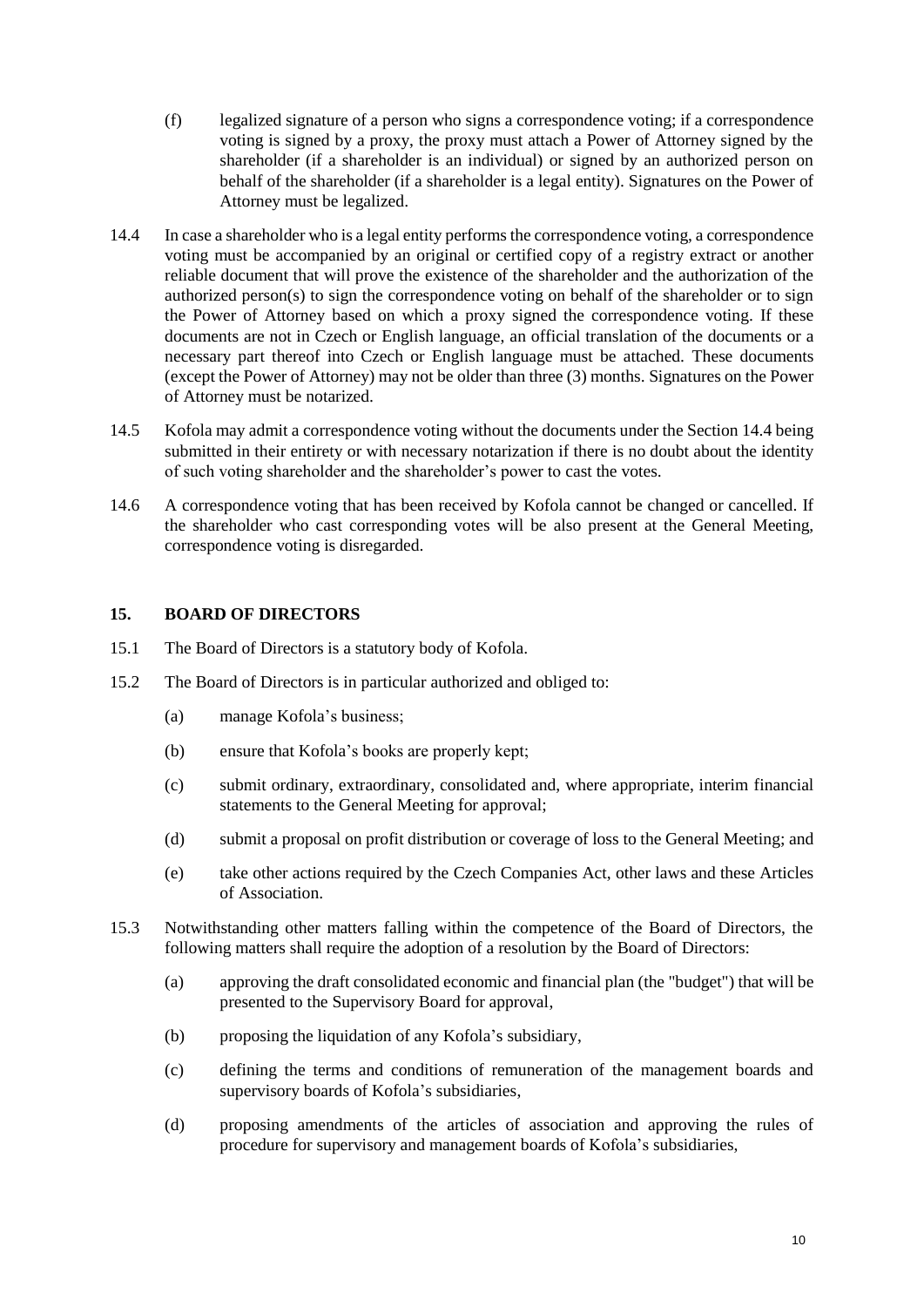- (f) legalized signature of a person who signs a correspondence voting; if a correspondence voting is signed by a proxy, the proxy must attach a Power of Attorney signed by the shareholder (if a shareholder is an individual) or signed by an authorized person on behalf of the shareholder (if a shareholder is a legal entity). Signatures on the Power of Attorney must be legalized.
- <span id="page-9-0"></span>14.4 In case a shareholder who is a legal entity performs the correspondence voting, a correspondence voting must be accompanied by an original or certified copy of a registry extract or another reliable document that will prove the existence of the shareholder and the authorization of the authorized person(s) to sign the correspondence voting on behalf of the shareholder or to sign the Power of Attorney based on which a proxy signed the correspondence voting. If these documents are not in Czech or English language, an official translation of the documents or a necessary part thereof into Czech or English language must be attached. These documents (except the Power of Attorney) may not be older than three (3) months. Signatures on the Power of Attorney must be notarized.
- 14.5 Kofola may admit a correspondence voting without the documents under the Section [14.4](#page-9-0) being submitted in their entirety or with necessary notarization if there is no doubt about the identity of such voting shareholder and the shareholder's power to cast the votes.
- 14.6 A correspondence voting that has been received by Kofola cannot be changed or cancelled. If the shareholder who cast corresponding votes will be also present at the General Meeting, correspondence voting is disregarded.

#### **15. BOARD OF DIRECTORS**

- 15.1 The Board of Directors is a statutory body of Kofola.
- 15.2 The Board of Directors is in particular authorized and obliged to:
	- (a) manage Kofola's business;
	- (b) ensure that Kofola's books are properly kept;
	- (c) submit ordinary, extraordinary, consolidated and, where appropriate, interim financial statements to the General Meeting for approval;
	- (d) submit a proposal on profit distribution or coverage of loss to the General Meeting; and
	- (e) take other actions required by the Czech Companies Act, other laws and these Articles of Association.
- 15.3 Notwithstanding other matters falling within the competence of the Board of Directors, the following matters shall require the adoption of a resolution by the Board of Directors:
	- (a) approving the draft consolidated economic and financial plan (the "budget") that will be presented to the Supervisory Board for approval,
	- (b) proposing the liquidation of any Kofola's subsidiary,
	- (c) defining the terms and conditions of remuneration of the management boards and supervisory boards of Kofola's subsidiaries,
	- (d) proposing amendments of the articles of association and approving the rules of procedure for supervisory and management boards of Kofola's subsidiaries,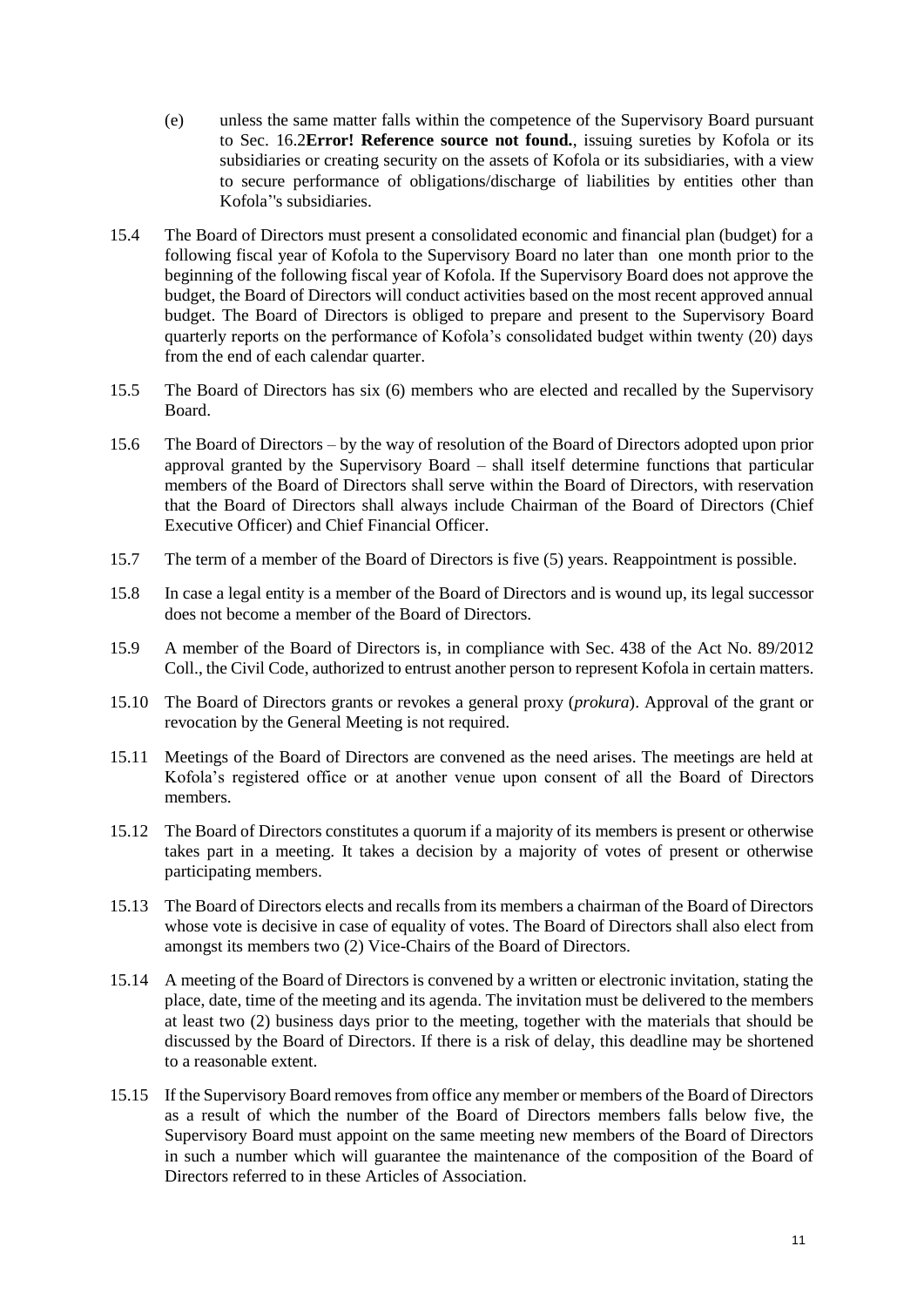- (e) unless the same matter falls within the competence of the Supervisory Board pursuant to Sec. [16.2](#page-11-0)**[Error! Reference source not found.](#page-11-0)**, issuing sureties by Kofola or its subsidiaries or creating security on the assets of Kofola or its subsidiaries, with a view to secure performance of obligations/discharge of liabilities by entities other than Kofola''s subsidiaries.
- 15.4 The Board of Directors must present a consolidated economic and financial plan (budget) for a following fiscal year of Kofola to the Supervisory Board no later than one month prior to the beginning of the following fiscal year of Kofola. If the Supervisory Board does not approve the budget, the Board of Directors will conduct activities based on the most recent approved annual budget. The Board of Directors is obliged to prepare and present to the Supervisory Board quarterly reports on the performance of Kofola's consolidated budget within twenty (20) days from the end of each calendar quarter.
- 15.5 The Board of Directors has six (6) members who are elected and recalled by the Supervisory Board.
- 15.6 The Board of Directors by the way of resolution of the Board of Directors adopted upon prior approval granted by the Supervisory Board – shall itself determine functions that particular members of the Board of Directors shall serve within the Board of Directors, with reservation that the Board of Directors shall always include Chairman of the Board of Directors (Chief Executive Officer) and Chief Financial Officer.
- 15.7 The term of a member of the Board of Directors is five (5) years. Reappointment is possible.
- 15.8 In case a legal entity is a member of the Board of Directors and is wound up, its legal successor does not become a member of the Board of Directors.
- 15.9 A member of the Board of Directors is, in compliance with Sec. 438 of the Act No. 89/2012 Coll., the Civil Code, authorized to entrust another person to represent Kofola in certain matters.
- 15.10 The Board of Directors grants or revokes a general proxy (*prokura*). Approval of the grant or revocation by the General Meeting is not required.
- 15.11 Meetings of the Board of Directors are convened as the need arises. The meetings are held at Kofola's registered office or at another venue upon consent of all the Board of Directors members.
- 15.12 The Board of Directors constitutes a quorum if a majority of its members is present or otherwise takes part in a meeting. It takes a decision by a majority of votes of present or otherwise participating members.
- 15.13 The Board of Directors elects and recalls from its members a chairman of the Board of Directors whose vote is decisive in case of equality of votes. The Board of Directors shall also elect from amongst its members two (2) Vice-Chairs of the Board of Directors.
- 15.14 A meeting of the Board of Directors is convened by a written or electronic invitation, stating the place, date, time of the meeting and its agenda. The invitation must be delivered to the members at least two (2) business days prior to the meeting, together with the materials that should be discussed by the Board of Directors. If there is a risk of delay, this deadline may be shortened to a reasonable extent.
- 15.15 If the Supervisory Board removes from office any member or members of the Board of Directors as a result of which the number of the Board of Directors members falls below five, the Supervisory Board must appoint on the same meeting new members of the Board of Directors in such a number which will guarantee the maintenance of the composition of the Board of Directors referred to in these Articles of Association.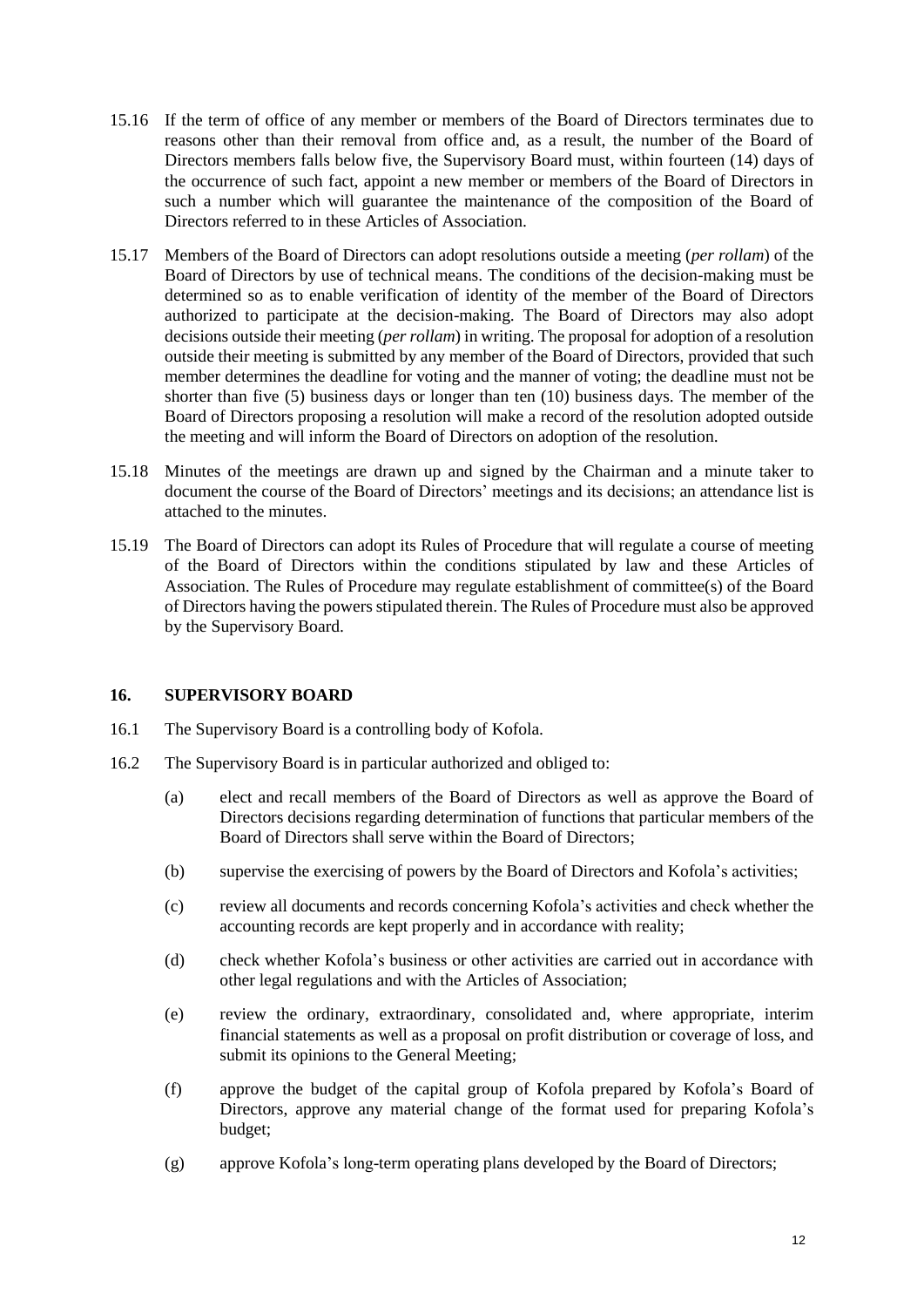- 15.16 If the term of office of any member or members of the Board of Directors terminates due to reasons other than their removal from office and, as a result, the number of the Board of Directors members falls below five, the Supervisory Board must, within fourteen (14) days of the occurrence of such fact, appoint a new member or members of the Board of Directors in such a number which will guarantee the maintenance of the composition of the Board of Directors referred to in these Articles of Association.
- 15.17 Members of the Board of Directors can adopt resolutions outside a meeting (*per rollam*) of the Board of Directors by use of technical means. The conditions of the decision-making must be determined so as to enable verification of identity of the member of the Board of Directors authorized to participate at the decision-making. The Board of Directors may also adopt decisions outside their meeting (*per rollam*) in writing. The proposal for adoption of a resolution outside their meeting is submitted by any member of the Board of Directors, provided that such member determines the deadline for voting and the manner of voting; the deadline must not be shorter than five (5) business days or longer than ten (10) business days. The member of the Board of Directors proposing a resolution will make a record of the resolution adopted outside the meeting and will inform the Board of Directors on adoption of the resolution.
- 15.18 Minutes of the meetings are drawn up and signed by the Chairman and a minute taker to document the course of the Board of Directors' meetings and its decisions; an attendance list is attached to the minutes.
- 15.19 The Board of Directors can adopt its Rules of Procedure that will regulate a course of meeting of the Board of Directors within the conditions stipulated by law and these Articles of Association. The Rules of Procedure may regulate establishment of committee(s) of the Board of Directors having the powers stipulated therein. The Rules of Procedure must also be approved by the Supervisory Board.

#### **16. SUPERVISORY BOARD**

- 16.1 The Supervisory Board is a controlling body of Kofola.
- <span id="page-11-0"></span>16.2 The Supervisory Board is in particular authorized and obliged to:
	- (a) elect and recall members of the Board of Directors as well as approve the Board of Directors decisions regarding determination of functions that particular members of the Board of Directors shall serve within the Board of Directors;
	- (b) supervise the exercising of powers by the Board of Directors and Kofola's activities;
	- (c) review all documents and records concerning Kofola's activities and check whether the accounting records are kept properly and in accordance with reality;
	- (d) check whether Kofola's business or other activities are carried out in accordance with other legal regulations and with the Articles of Association;
	- (e) review the ordinary, extraordinary, consolidated and, where appropriate, interim financial statements as well as a proposal on profit distribution or coverage of loss, and submit its opinions to the General Meeting;
	- (f) approve the budget of the capital group of Kofola prepared by Kofola's Board of Directors, approve any material change of the format used for preparing Kofola's budget;
	- (g) approve Kofola's long-term operating plans developed by the Board of Directors;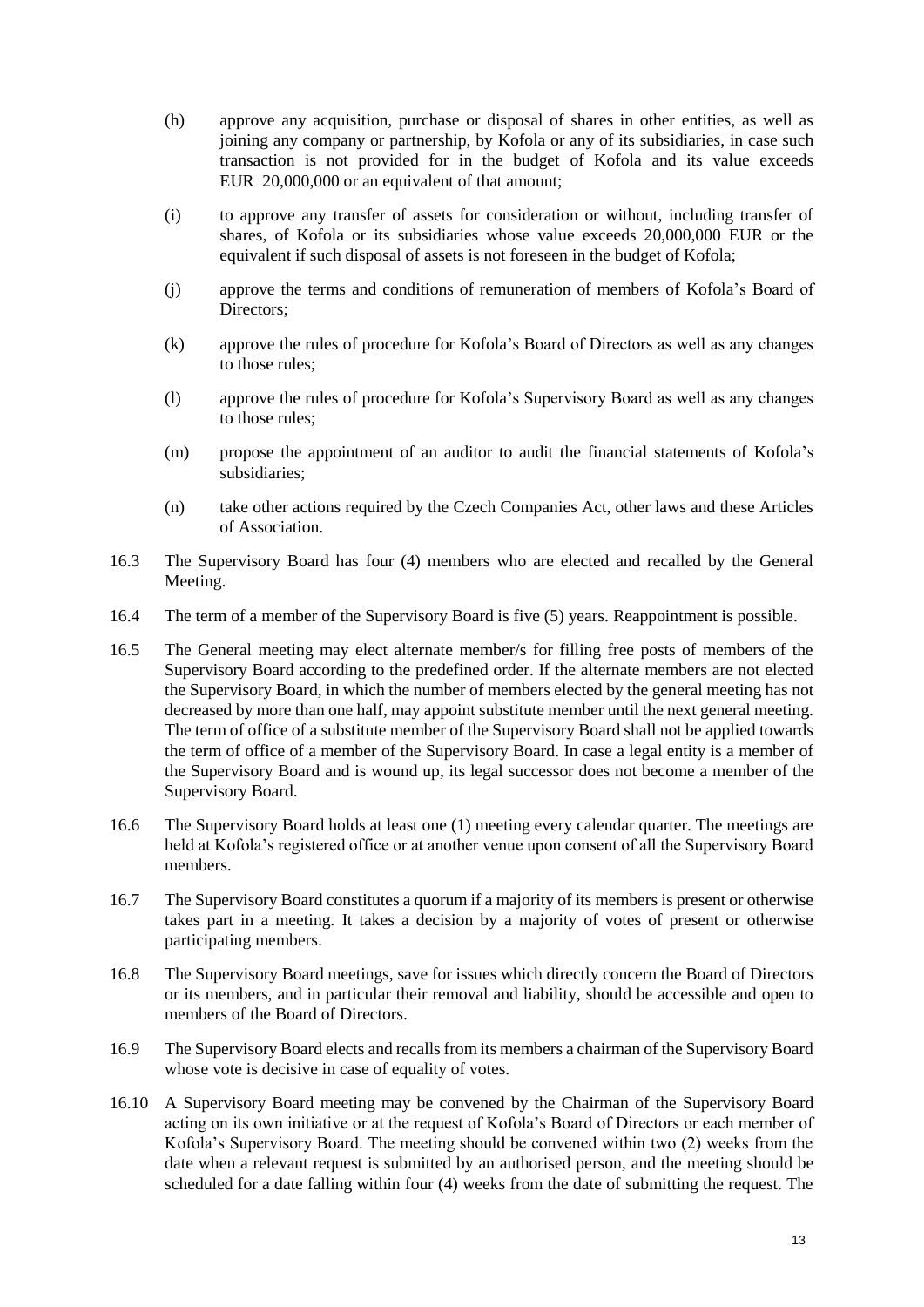- (h) approve any acquisition, purchase or disposal of shares in other entities, as well as joining any company or partnership, by Kofola or any of its subsidiaries, in case such transaction is not provided for in the budget of Kofola and its value exceeds EUR 20,000,000 or an equivalent of that amount;
- (i) to approve any transfer of assets for consideration or without, including transfer of shares, of Kofola or its subsidiaries whose value exceeds 20,000,000 EUR or the equivalent if such disposal of assets is not foreseen in the budget of Kofola;
- (j) approve the terms and conditions of remuneration of members of Kofola's Board of Directors;
- (k) approve the rules of procedure for Kofola's Board of Directors as well as any changes to those rules;
- (l) approve the rules of procedure for Kofola's Supervisory Board as well as any changes to those rules;
- (m) propose the appointment of an auditor to audit the financial statements of Kofola's subsidiaries;
- (n) take other actions required by the Czech Companies Act, other laws and these Articles of Association.
- 16.3 The Supervisory Board has four (4) members who are elected and recalled by the General Meeting.
- 16.4 The term of a member of the Supervisory Board is five (5) years. Reappointment is possible.
- 16.5 The General meeting may elect alternate member/s for filling free posts of members of the Supervisory Board according to the predefined order. If the alternate members are not elected the Supervisory Board, in which the number of members elected by the general meeting has not decreased by more than one half, may appoint substitute member until the next general meeting. The term of office of a substitute member of the Supervisory Board shall not be applied towards the term of office of a member of the Supervisory Board. In case a legal entity is a member of the Supervisory Board and is wound up, its legal successor does not become a member of the Supervisory Board.
- 16.6 The Supervisory Board holds at least one (1) meeting every calendar quarter. The meetings are held at Kofola's registered office or at another venue upon consent of all the Supervisory Board members.
- 16.7 The Supervisory Board constitutes a quorum if a majority of its members is present or otherwise takes part in a meeting. It takes a decision by a majority of votes of present or otherwise participating members.
- 16.8 The Supervisory Board meetings, save for issues which directly concern the Board of Directors or its members, and in particular their removal and liability, should be accessible and open to members of the Board of Directors.
- 16.9 The Supervisory Board elects and recalls from its members a chairman of the Supervisory Board whose vote is decisive in case of equality of votes.
- 16.10 A Supervisory Board meeting may be convened by the Chairman of the Supervisory Board acting on its own initiative or at the request of Kofola's Board of Directors or each member of Kofola's Supervisory Board. The meeting should be convened within two (2) weeks from the date when a relevant request is submitted by an authorised person, and the meeting should be scheduled for a date falling within four (4) weeks from the date of submitting the request. The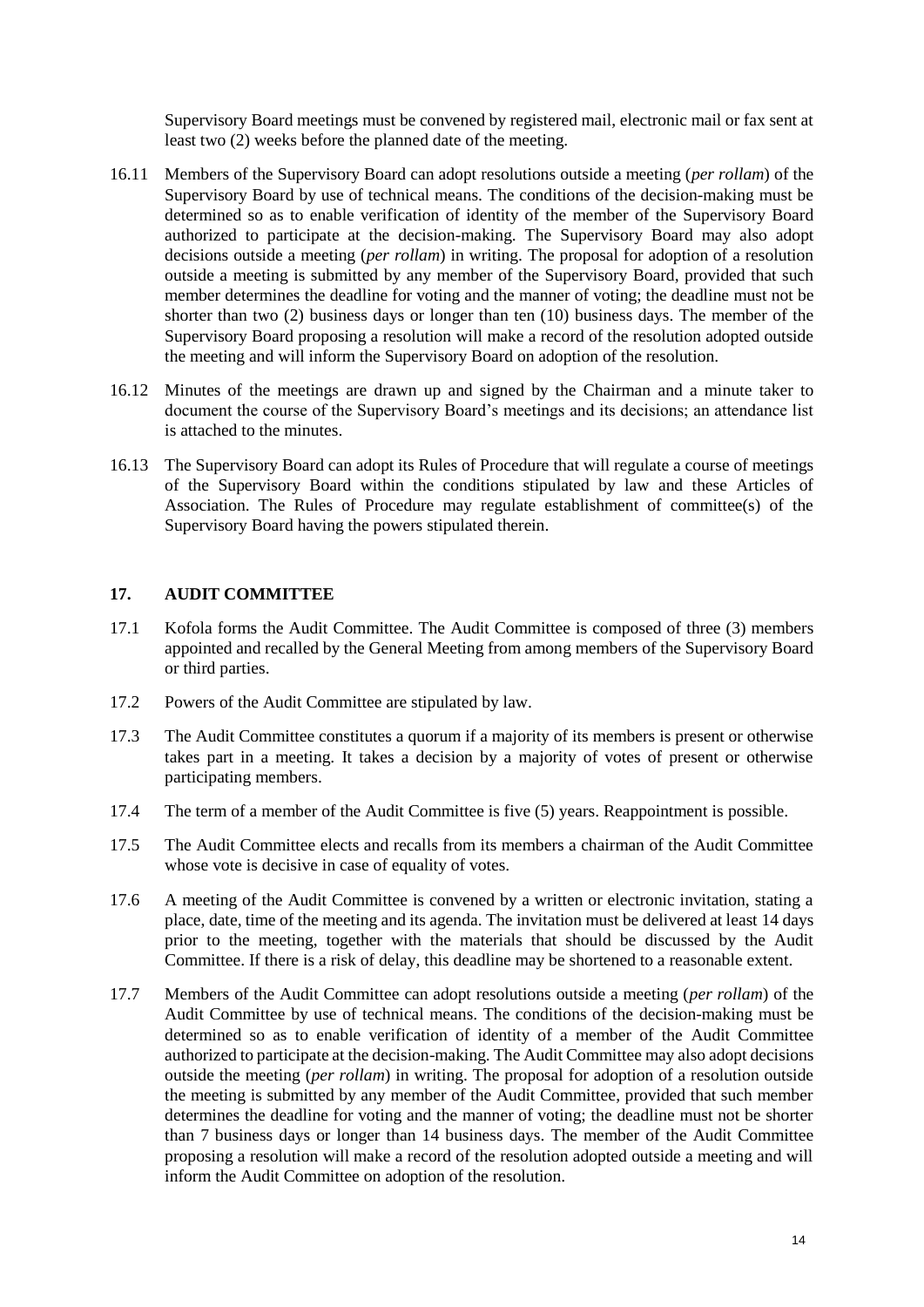Supervisory Board meetings must be convened by registered mail, electronic mail or fax sent at least two (2) weeks before the planned date of the meeting.

- 16.11 Members of the Supervisory Board can adopt resolutions outside a meeting (*per rollam*) of the Supervisory Board by use of technical means. The conditions of the decision-making must be determined so as to enable verification of identity of the member of the Supervisory Board authorized to participate at the decision-making. The Supervisory Board may also adopt decisions outside a meeting (*per rollam*) in writing. The proposal for adoption of a resolution outside a meeting is submitted by any member of the Supervisory Board, provided that such member determines the deadline for voting and the manner of voting; the deadline must not be shorter than two (2) business days or longer than ten (10) business days. The member of the Supervisory Board proposing a resolution will make a record of the resolution adopted outside the meeting and will inform the Supervisory Board on adoption of the resolution.
- 16.12 Minutes of the meetings are drawn up and signed by the Chairman and a minute taker to document the course of the Supervisory Board's meetings and its decisions; an attendance list is attached to the minutes.
- 16.13 The Supervisory Board can adopt its Rules of Procedure that will regulate a course of meetings of the Supervisory Board within the conditions stipulated by law and these Articles of Association. The Rules of Procedure may regulate establishment of committee(s) of the Supervisory Board having the powers stipulated therein.

#### **17. AUDIT COMMITTEE**

- 17.1 Kofola forms the Audit Committee. The Audit Committee is composed of three (3) members appointed and recalled by the General Meeting from among members of the Supervisory Board or third parties.
- 17.2 Powers of the Audit Committee are stipulated by law.
- 17.3 The Audit Committee constitutes a quorum if a majority of its members is present or otherwise takes part in a meeting. It takes a decision by a majority of votes of present or otherwise participating members.
- 17.4 The term of a member of the Audit Committee is five (5) years. Reappointment is possible.
- 17.5 The Audit Committee elects and recalls from its members a chairman of the Audit Committee whose vote is decisive in case of equality of votes.
- 17.6 A meeting of the Audit Committee is convened by a written or electronic invitation, stating a place, date, time of the meeting and its agenda. The invitation must be delivered at least 14 days prior to the meeting, together with the materials that should be discussed by the Audit Committee. If there is a risk of delay, this deadline may be shortened to a reasonable extent.
- 17.7 Members of the Audit Committee can adopt resolutions outside a meeting (*per rollam*) of the Audit Committee by use of technical means. The conditions of the decision-making must be determined so as to enable verification of identity of a member of the Audit Committee authorized to participate at the decision-making. The Audit Committee may also adopt decisions outside the meeting (*per rollam*) in writing. The proposal for adoption of a resolution outside the meeting is submitted by any member of the Audit Committee, provided that such member determines the deadline for voting and the manner of voting; the deadline must not be shorter than 7 business days or longer than 14 business days. The member of the Audit Committee proposing a resolution will make a record of the resolution adopted outside a meeting and will inform the Audit Committee on adoption of the resolution.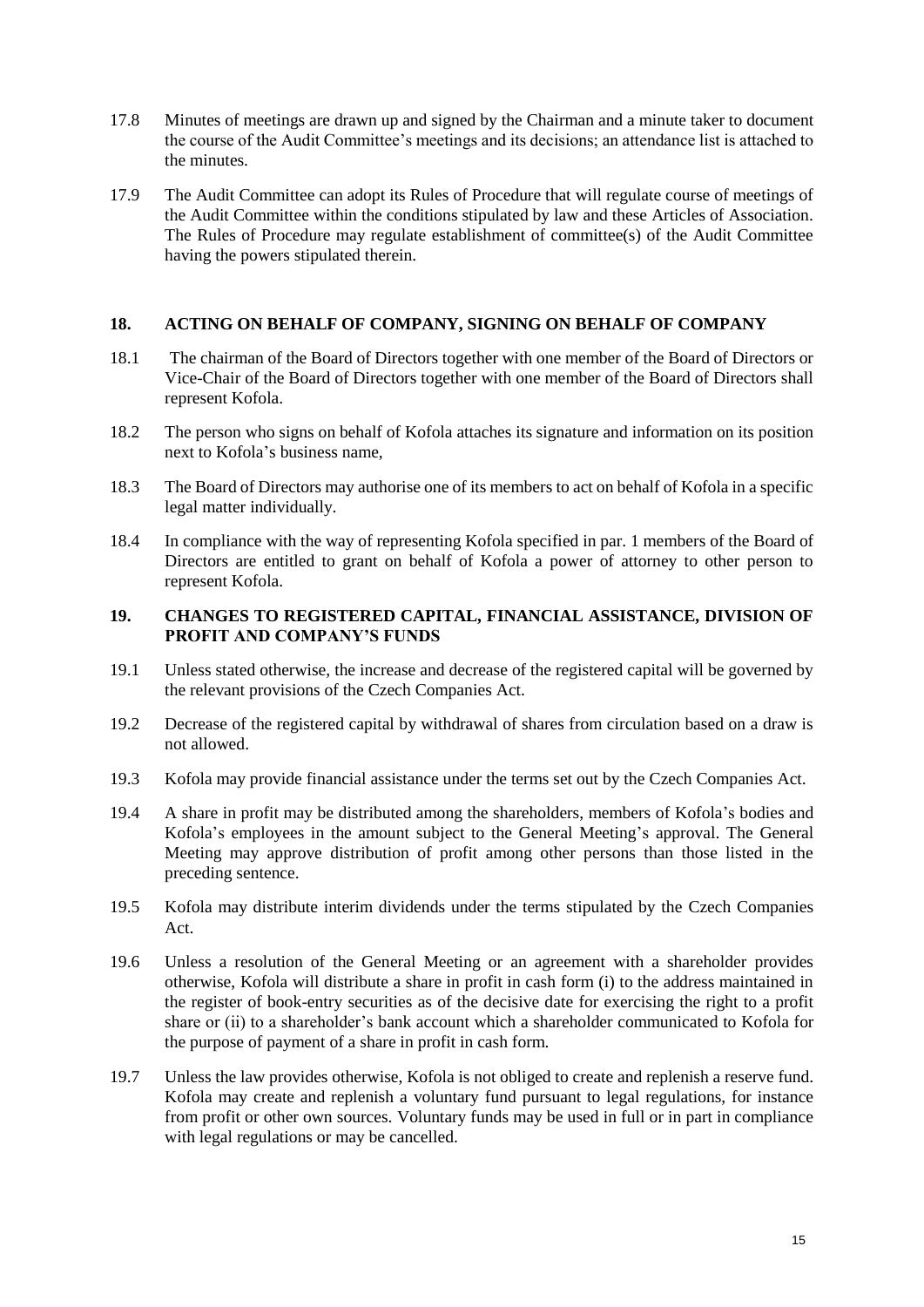- 17.8 Minutes of meetings are drawn up and signed by the Chairman and a minute taker to document the course of the Audit Committee's meetings and its decisions; an attendance list is attached to the minutes.
- 17.9 The Audit Committee can adopt its Rules of Procedure that will regulate course of meetings of the Audit Committee within the conditions stipulated by law and these Articles of Association. The Rules of Procedure may regulate establishment of committee(s) of the Audit Committee having the powers stipulated therein.

## **18. ACTING ON BEHALF OF COMPANY, SIGNING ON BEHALF OF COMPANY**

- 18.1 The chairman of the Board of Directors together with one member of the Board of Directors or Vice-Chair of the Board of Directors together with one member of the Board of Directors shall represent Kofola.
- 18.2 The person who signs on behalf of Kofola attaches its signature and information on its position next to Kofola's business name,
- 18.3 The Board of Directors may authorise one of its members to act on behalf of Kofola in a specific legal matter individually.
- 18.4 In compliance with the way of representing Kofola specified in par. 1 members of the Board of Directors are entitled to grant on behalf of Kofola a power of attorney to other person to represent Kofola.

#### **19. CHANGES TO REGISTERED CAPITAL, FINANCIAL ASSISTANCE, DIVISION OF PROFIT AND COMPANY'S FUNDS**

- 19.1 Unless stated otherwise, the increase and decrease of the registered capital will be governed by the relevant provisions of the Czech Companies Act.
- 19.2 Decrease of the registered capital by withdrawal of shares from circulation based on a draw is not allowed.
- 19.3 Kofola may provide financial assistance under the terms set out by the Czech Companies Act.
- 19.4 A share in profit may be distributed among the shareholders, members of Kofola's bodies and Kofola's employees in the amount subject to the General Meeting's approval. The General Meeting may approve distribution of profit among other persons than those listed in the preceding sentence.
- 19.5 Kofola may distribute interim dividends under the terms stipulated by the Czech Companies Act.
- 19.6 Unless a resolution of the General Meeting or an agreement with a shareholder provides otherwise, Kofola will distribute a share in profit in cash form (i) to the address maintained in the register of book-entry securities as of the decisive date for exercising the right to a profit share or (ii) to a shareholder's bank account which a shareholder communicated to Kofola for the purpose of payment of a share in profit in cash form.
- 19.7 Unless the law provides otherwise, Kofola is not obliged to create and replenish a reserve fund. Kofola may create and replenish a voluntary fund pursuant to legal regulations, for instance from profit or other own sources. Voluntary funds may be used in full or in part in compliance with legal regulations or may be cancelled.